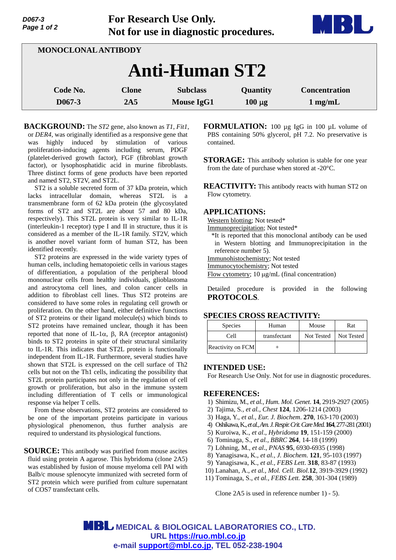| D067-3      |  |
|-------------|--|
| Page 1 of 2 |  |

**For Research Use Only. Not for use in diagnostic procedures.**



| MONOCLONAL ANTIBODY   |                     |                                      |                         |                                           |  |  |
|-----------------------|---------------------|--------------------------------------|-------------------------|-------------------------------------------|--|--|
| <b>Anti-Human ST2</b> |                     |                                      |                         |                                           |  |  |
| Code No.<br>$D067-3$  | <b>Clone</b><br>2A5 | <b>Subclass</b><br><b>Mouse IgG1</b> | Quantity<br>$100 \mu g$ | <b>Concentration</b><br>$1 \text{ mg/mL}$ |  |  |

**BACKGROUND:** The *ST2* gene, also known as *T1*, *Fit1*, or *DER4*, was originally identified as a responsive gene that was highly induced by stimulation of various proliferation-inducing agents including serum, PDGF (platelet-derived growth factor), FGF (fibroblast growth factor), or lysophosphatidic acid in murine fibroblasts. Three distinct forms of gene products have been reported and named ST2, ST2V, and ST2L.

ST2 is a soluble secreted form of 37 kDa protein, which lacks intracellular domain, whereas ST2L is a transmembrane form of 62 kDa protein (the glycosylated forms of ST2 and ST2L are about 57 and 80 kDa, respectively). This ST2L protein is very similar to IL-1R (interleukin-1 receptor) type I and II in structure, thus it is considered as a member of the IL-1R family. ST2V, which is another novel variant form of human ST2, has been identified recently.

ST2 proteins are expressed in the wide variety types of human cells, including hematopoietic cells in various stages of differentiation, a population of the peripheral blood mononuclear cells from healthy individuals, glioblastoma and astrocytoma cell lines, and colon cancer cells in addition to fibroblast cell lines. Thus ST2 proteins are considered to have some roles in regulating cell growth or proliferation. On the other hand, either definitive functions of ST2 proteins or their ligand molecule(s) which binds to ST2 proteins have remained unclear, though it has been reported that none of IL-1 $\alpha$ ,  $\beta$ , RA (receptor antagonist) binds to ST2 proteins in spite of their structural similarity to IL-1R. This indicates that ST2L protein is functionally independent from IL-1R. Furthermore, several studies have shown that ST2L is expressed on the cell surface of Th2 cells but not on the Th1 cells, indicating the possibility that ST2L protein participates not only in the regulation of cell growth or proliferation, but also in the immune system including differentiation of T cells or immunological response via helper T cells.

From these observations, ST2 proteins are considered to be one of the important proteins participate in various physiological phenomenon, thus further analysis are required to understand its physiological functions.

**SOURCE:** This antibody was purified from mouse ascites fluid using protein A agarose. This hybridoma (clone 2A5) was established by fusion of mouse myeloma cell PAI with Balb/c mouse splenocyte immunized with secreted form of ST2 protein which were purified from culture supernatant of COS7 transfectant cells.

**FORMULATION:** 100 µg IgG in 100 µL volume of PBS containing 50% glycerol, pH 7.2. No preservative is contained.

**STORAGE:** This antibody solution is stable for one year from the date of purchase when stored at -20°C.

**REACTIVITY:** This antibody reacts with human ST2 on Flow cytometry.

#### **APPLICATIONS:**

Western blotting; Not tested\*

Immunoprecipitation; Not tested\*

- \*It is reported that this monoclonal antibody can be used in Western blotting and Immunoprecipitation in the reference number 5).
- Immunohistochemistry; Not tested
- Immunocytochemistry; Not tested
- Flow cytometry;  $10 \mu g/mL$  (final concentration)

Detailed procedure is provided in the following **PROTOCOLS**.

## **SPECIES CROSS REACTIVITY:**

| <b>Species</b>    | Human        | Mouse      | Rat        |
|-------------------|--------------|------------|------------|
| Cell              | transfectant | Not Tested | Not Tested |
| Reactivity on FCM |              |            |            |

## **INTENDED USE:**

For Research Use Only. Not for use in diagnostic procedures.

## **REFERENCES:**

- 1) Shimizu, M., *et al., Hum. Mol. Genet*. **14**, 2919-2927 (2005)
- 2) Tajima, S*., et al., Chest* **124**, 1206-1214 (2003)
- 3) Haga, Y., *et al., Eur. J. Biochem*. **270**, 163-170 (2003)
- 4) Oshikawa, K., *et al., Am. J. Respir. Crit. Care Med.***164**, 277-281 (2001)
- 5) Kuroiwa, K., *et al*., *Hybridoma* **19**, 151-159 (2000)
- 6) Tominaga, S., *et al., BBRC* **264**, 14-18 (1999)
- 7) Löhning, M., *et al*., *PNAS* **95**, 6930-6935 (1998)
- 8) Yanagisawa, K., *et al., J. Biochem*. **121**, 95-103 (1997)
- 9) Yanagisawa, K., *et al., FEBS Lett*. **318**, 83-87 (1993)
- 10) Lanahan, A., *et al., Mol. Cell. Biol.***12**, 3919-3929 (1992)
- 11) Tominaga, S., *et al., FEBS Lett.* **258**, 301-304 (1989)

Clone 2A5 is used in reference number 1) - 5).

**MBL** MEDICAL & BIOLOGICAL LABORATORIES CO., LTD. **URL https://ruo.mbl.co.jp e-mail support@mbl.co.jp, TEL 052-238-1904**